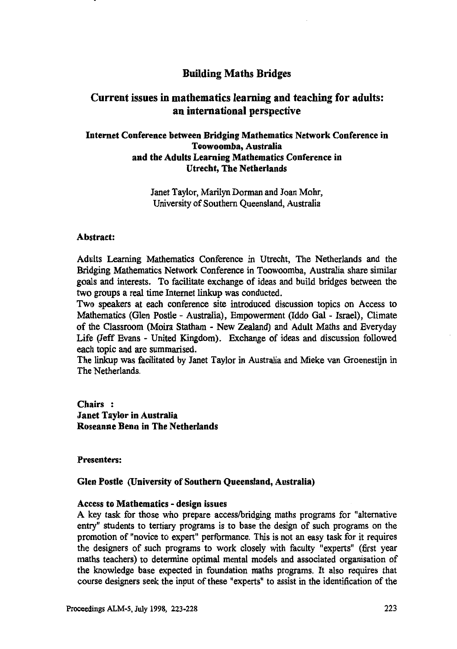# **Building Maths Bridges**

# **Current issues in mathematics learning and teaching for adults: an international perspective**

# **Internet Conference between Bridging Mathematics Network Conference in Toowoomba, Australia and the Adults Learning Mathematics Conference in Utrecht, The Netherlands**

Janet Taylor, Marilyn Dorman and Joan Mohr, University of Southern Queensland, Australia

#### **Abstract:**

Adults Learning Mathematics Conference in Utrecht, The Netherlands and the Bridging Mathematics Network Conference in Toowoomba, Australia share similar goals and interests. To facilitate exchange of ideas and build bridges between the two groups a real time Internet linkup was conducted.

Two speakers at each conference site introduced discussion topics on Access to Mathematics (Glen Postle - Australia), Empowerment (Iddo Gal - Israel), Climate of the Classroom (Moira Statham - New Zealand) and Adult Maths and Everyday Life (Jeff Evans - United Kingdom). Exchange of ideas and discussion followed each topic and are summarised.

The linkup was facilitated by Janet Taylor in Australia and Mieke van Groenestijn in The Netherlands.

Chairs : **Janet Taylor in Australia Roseanne Benn in The Netherlands**

#### **Presenters:**

#### **Glen Postle (University of Southern Queensland, Australia)**

#### **Access to Mathematics - design issues**

A key task for those who prepare access/bridging maths programs for "alternative entry" students to tertiary programs is to base the design of such programs on the promotion of "novice to expert" performance. This is not an easy task for it requires the designers of such programs to work closely with faculty "experts" (first year maths teachers) to determine optimal mental models and associated organisation of the knowledge base expected in foundation maths programs. It also requires that course designers seek the input of these "experts" to assist in the identification of the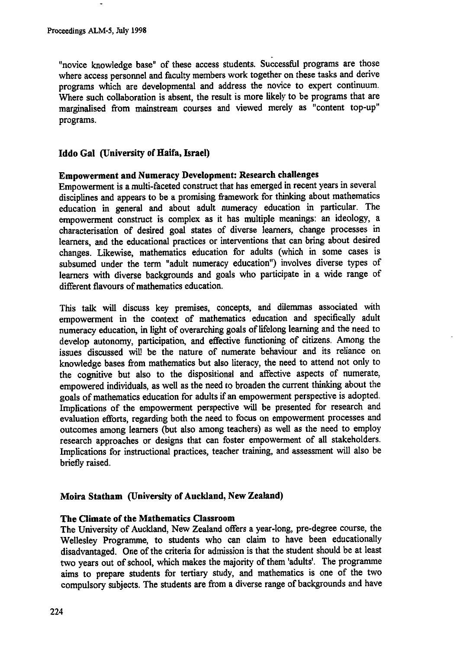"novice knowledge base" of these access students. Successful programs are those where access personnel and faculty members work together on these tasks and derive programs which are developmental and address the novice to expert continuum. Where such collaboration is absent, the result is more likely to be programs that are marginalised from mainstream courses and viewed merely as "content top-up" programs.

# **Iddo Gal (University of Haifa, Israel)**

#### **Empowerment and Numeracy Development: Research challenges**

Empowerment is a multi-faceted construct that has emerged in recent years in several disciplines and appears to be a promising framework for thinking about mathematics education in general and about adult numeracy education in particular. The empowerment construct is complex as it has multiple meanings: an ideology, a characterisation of desired goal states of diverse learners, change processes in learners, and the educational practices or interventions that can bring about desired changes. Likewise, mathematics education for adults (which in some cases is subsumed under the term "adult numeracy education") involves diverse types of learners with diverse backgrounds and goals who participate in a wide range of different flavours of mathematics education.

This talk will discuss key premises, concepts, and dilemmas associated with empowerment in the context of mathematics education and specifically adult numeracy education, in light of overarching goals of lifelong learning and the need to develop autonomy, participation, and effective functioning of citizens. Among the issues discussed will be the nature of numerate behaviour and its reliance on knowledge bases from mathematics but also literacy, the need to attend not only to the cognitive but also to the dispositional and affective aspects of numerate, empowered individuals, as well as the need to broaden the current thinking about the goals of mathematics education for adults if an empowerment perspective is adopted. Implications of the empowerment perspective will be presented for research and evaluation efforts, regarding both the need to focus on empowerment processes and outcomes among learners (but also among teachers) as well as the need to employ research approaches or designs that can foster empowerment of all stakeholders. Implications for instructional practices, teacher training, and assessment will also be briefly raised.

# **Moira Statham (University of Auckland, New Zealand)**

# **The Climate of the Mathematics Classroom**

The University of Auckland, New Zealand offers a year-long, pre-degree course, the Wellesley Programme, to students who can claim to have been educationally disadvantaged. One of the criteria for admission is that the student should be at least two years out of school, which makes the majority of them 'adults'. The programme aims to prepare students for tertiary study, and mathematics is one of the two compulsory subjects. The students are from a diverse range of backgrounds and have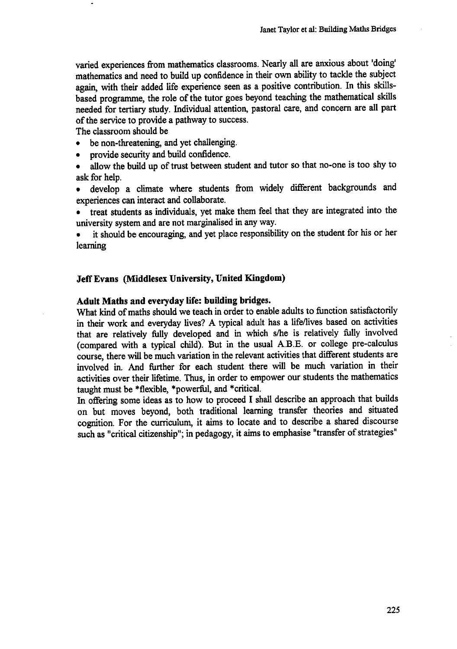**varied experiences from mathematics classrooms. Nearly all are anxious about 'doing' mathematics and need to build up confidence in their own ability to tackle the subject again, with their added life experience seen as a positive contribution. In this skillsbased programme, the role of the tutor goes beyond teaching the mathematical skills needed for tertiary study. Individual attention, pastoral care, and concern are all part of the service to provide a pathway to success.**

**The classroom should be**

- **• be non-threatening, and yet challenging.**
- **• provide security and build confidence.**
- **• allow the build up of trust between student and tutor so that no-one is too shy to ask for help.**
- **• develop a climate where students from widely different backgrounds and experiences can interact and collaborate.**

**• treat students as individuals, yet make them feel that they are integrated into the university system and are not marginalised in any way.**

**• it should be encouraging, and yet place responsibility on the student for his or her learning**

#### **Jeff Evans (Middlesex University, United Kingdom)**

#### **Adult Maths and everyday life: building bridges.**

**What kind of maths should we teach in order to enable adults to function satisfactorily in their work and everyday lives? A typical adult has a life/lives based on activities that are relatively fully developed and in which s/he is relatively fully involved (compared with a typical child). But in the usual A.B.E. or college pre-calculus course, there will be much variation in the relevant activities that different students are involved in. And further for each student there will be much variation in their activities over their lifetime. Thus, in order to empower our students the mathematics taught must be \*flexible, \*powerful, and \*critical.**

**In offering some ideas as to how to proceed I shall describe an approach that builds on but moves beyond, both traditional learning transfer theories and situated cognition. For the curriculum, it aims to locate and to describe a shared discourse such as "critical citizenship"; in pedagogy, it aims to emphasise "transfer of strategies"**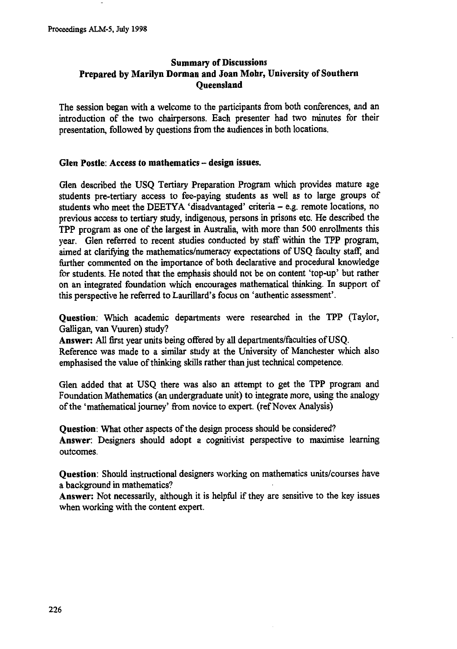# **Summary of Discussions Prepared by Marilyn Dorman and Joan Mohr, University of Southern Queensland**

The session began with a welcome to the participants from both conferences, and an introduction of the two chairpersons. Each presenter had two minutes for their presentation, followed by questions from the audiences in both locations.

#### **Glen Postle: Access to mathematics — design issues.**

Glen described the USQ Tertiary Preparation Program which provides mature age students pre-tertiary access to fee-paying students as well as to large groups of students who meet the DEETYA 'disadvantaged' criteria — e.g. remote locations, no previous access to tertiary study, indigenous, persons in prisons etc. He described the TPP program as one of the largest in Australia, with more than 500 enrollments this year. Glen referred to recent studies conducted by staff within the TPP program, aimed at clarifying the mathematics/numeracy expectations of USQ faculty staff, and further commented on the importance of both declarative and procedural knowledge for students. He noted that the emphasis should not be on content 'top-up' but rather on an integrated foundation which encourages mathematical thinking. In support of this perspective he referred to Laurillard's focus on 'authentic assessment'.

**Question:** Which academic departments were researched in the TPP (Taylor, Galligan, van Vuuren) study?

**Answer: All** first year units being offered by all departments/faculties of USQ.

Reference was made to a similar study at the University of Manchester which also emphasised the value of thinking skills rather than just technical competence.

Glen added that at USQ there was also an attempt to get the TPP program and Foundation Mathematics (an undergraduate unit) to integrate more, using the analogy of the 'mathematical journey' from novice to expert. (ref Novex Analysis)

**Question:** What other aspects of the design process should be considered? **Answer:** Designers should adopt a cognitivist perspective to maximise learning outcomes.

**Question:** Should instructional designers working on mathematics units/courses have a background in mathematics?

**Answer:** Not necessarily, although it is helpful if they are sensitive to the key issues when working with the content expert.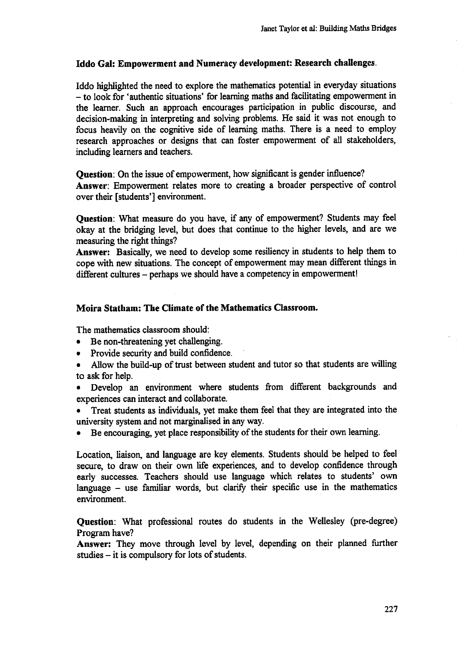# **Iddo Gal: Empowerment and Numeracy development: Research challenges.**

Iddo highlighted the need to explore the mathematics potential in everyday situations — to look for 'authentic situations' for learning maths and facilitating empowerment in the learner. Such an approach encourages participation in public discourse, and decision-making in interpreting and solving problems. He said it was not enough to focus heavily on the cognitive side of learning maths. There is a need to employ research approaches or designs that can foster empowerment of all stakeholders, including learners and teachers.

**Question:** On the issue of empowerment, how significant is gender influence?

**Answer:** Empowerment relates more to creating a broader perspective of control over their [students'] environment.

**Question:** What measure do you have, if any of empowerment? Students may feel okay at the bridging level, but does that continue to the higher levels, and are we measuring the right things?

**Answer:** Basically, we need to develop some resiliency in students to help them to cope with new situations. The concept of empowerment may mean different things in different cultures — perhaps we should have a competency in empowerment!

## **Moira Statham: The Climate of the Mathematics Classroom.**

The mathematics classroom should:

- Be non-threatening yet challenging.
- Provide security and build confidence.
- Allow the build-up of trust between student and tutor so that students are willing to ask for help.
- Develop an environment where students from different backgrounds and experiences can interact and collaborate.
- Treat students as individuals, yet make them feel that they are integrated into the university system and not marginalised in any way.
- Be encouraging, yet place responsibility of the students for their own learning.

Location, liaison, and language are key elements. Students should be helped to feel secure, to draw on their own life experiences, and to develop confidence through early successes. Teachers should use language which relates to students' own language — use familiar words, but clarify their specific use in the mathematics environment.

**Question:** What professional routes do students in the Wellesley (pre-degree) Program have?

**Answer:** They move through level by level, depending on their planned further studies — it is compulsory for lots of students.